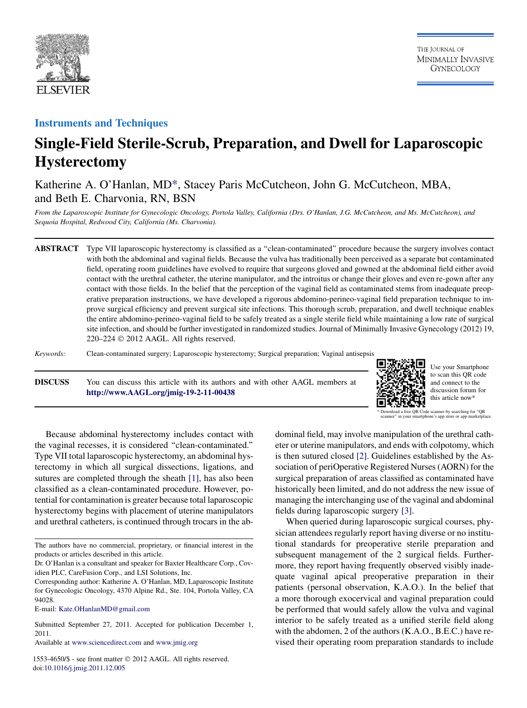

### Instruments and Techniques

# Single-Field Sterile-Scrub, Preparation, and Dwell for Laparoscopic Hysterectomy

## Katherine A. O'Hanlan, MD\*, Stacey Paris McCutcheon, John G. McCutcheon, MBA, and Beth E. Charvonia, RN, BSN

From the Laparoscopic Institute for Gynecologic Oncology, Portola Valley, California (Drs. O'Hanlan, J.G. McCutcheon, and Ms. McCutcheon), and Sequoia Hospital, Redwood City, California (Ms. Charvonia).

ABSTRACT Type VII laparoscopic hysterectomy is classified as a ''clean-contaminated'' procedure because the surgery involves contact with both the abdominal and vaginal fields. Because the vulva has traditionally been perceived as a separate but contaminated field, operating room guidelines have evolved to require that surgeons gloved and gowned at the abdominal field either avoid contact with the urethral catheter, the uterine manipulator, and the introitus or change their gloves and even re-gown after any contact with those fields. In the belief that the perception of the vaginal field as contaminated stems from inadequate preoperative preparation instructions, we have developed a rigorous abdomino-perineo-vaginal field preparation technique to improve surgical efficiency and prevent surgical site infections. This thorough scrub, preparation, and dwell technique enables the entire abdomino-perineo-vaginal field to be safely treated as a single sterile field while maintaining a low rate of surgical site infection, and should be further investigated in randomized studies. Journal of Minimally Invasive Gynecology (2012) 19,  $220-224 \odot 2012$  AAGL. All rights reserved.

Keywords: Clean-contaminated surgery; Laparoscopic hysterectomy; Surgical preparation; Vaginal antisepsis

DISCUSS You can discuss this article with its authors and with other AAGL members at <http://www.AAGL.org/jmig-19-2-11-00438>



Use your Smartphone to scan this QR code and connect to the discussion forum for this article now\*

Because abdominal hysterectomy includes contact with the vaginal recesses, it is considered ''clean-contaminated.'' Type VII total laparoscopic hysterectomy, an abdominal hysterectomy in which all surgical dissections, ligations, and sutures are completed through the sheath [\[1\],](#page-4-0) has also been classified as a clean-contaminated procedure. However, potential for contamination is greater because total laparoscopic hysterectomy begins with placement of uterine manipulators and urethral catheters, is continued through trocars in the ab-

E-mail: [Kate.OHanlanMD@gmail.com](mailto:Kate.OHanlanMD@gmail.com)

Submitted September 27, 2011. Accepted for publication December 1, 2011.

Available at [www.sciencedirect.com](http://www.sciencedirect.com) and [www.jmig.org](http://www.jmig.org)

1553-4650/\$ - see front matter  $©$  2012 AAGL. All rights reserved. doi[:10.1016/j.jmig.2011.12.005](http://dx.doi.org/10.1016/j.jmig.2011.12.005)

dominal field, may involve manipulation of the urethral catheter or uterine manipulators, and ends with colpotomy, which is then sutured closed [\[2\]](#page-4-0). Guidelines established by the Association of periOperative Registered Nurses (AORN) for the surgical preparation of areas classified as contaminated have historically been limited, and do not address the new issue of managing the interchanging use of the vaginal and abdominal fields during laparoscopic surgery [\[3\]](#page-4-0).

When queried during laparoscopic surgical courses, physician attendees regularly report having diverse or no institutional standards for preoperative sterile preparation and subsequent management of the 2 surgical fields. Furthermore, they report having frequently observed visibly inadequate vaginal apical preoperative preparation in their patients (personal observation, K.A.O.). In the belief that a more thorough exocervical and vaginal preparation could be performed that would safely allow the vulva and vaginal interior to be safely treated as a unified sterile field along with the abdomen, 2 of the authors (K.A.O., B.E.C.) have revised their operating room preparation standards to include

The authors have no commercial, proprietary, or financial interest in the products or articles described in this article.

Dr. O'Hanlan is a consultant and speaker for Baxter Healthcare Corp., Covidien PLC, CareFusion Corp., and LSI Solutions, Inc.

Corresponding author: Katherine A. O'Hanlan, MD, Laparoscopic Institute for Gynecologic Oncology, 4370 Alpine Rd., Ste. 104, Portola Valley, CA 94028.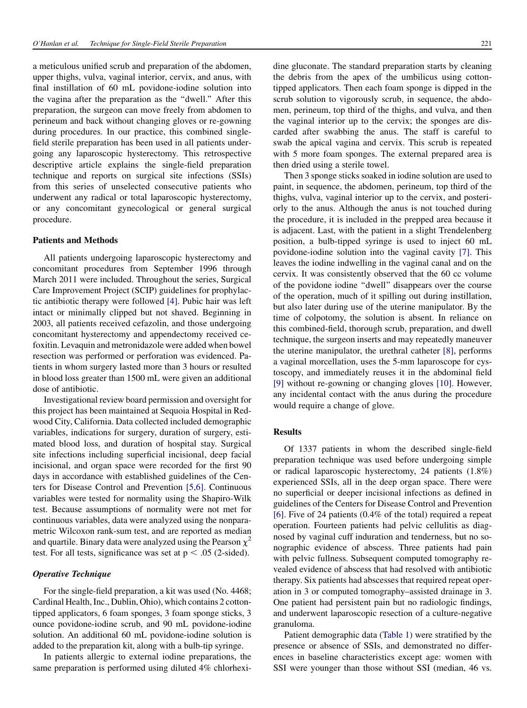a meticulous unified scrub and preparation of the abdomen, upper thighs, vulva, vaginal interior, cervix, and anus, with final instillation of 60 mL povidone-iodine solution into the vagina after the preparation as the ''dwell.'' After this preparation, the surgeon can move freely from abdomen to perineum and back without changing gloves or re-gowning during procedures. In our practice, this combined singlefield sterile preparation has been used in all patients undergoing any laparoscopic hysterectomy. This retrospective descriptive article explains the single-field preparation technique and reports on surgical site infections (SSIs) from this series of unselected consecutive patients who underwent any radical or total laparoscopic hysterectomy, or any concomitant gynecological or general surgical procedure.

#### Patients and Methods

All patients undergoing laparoscopic hysterectomy and concomitant procedures from September 1996 through March 2011 were included. Throughout the series, Surgical Care Improvement Project (SCIP) guidelines for prophylactic antibiotic therapy were followed [\[4\]](#page-4-0). Pubic hair was left intact or minimally clipped but not shaved. Beginning in 2003, all patients received cefazolin, and those undergoing concomitant hysterectomy and appendectomy received cefoxitin. Levaquin and metronidazole were added when bowel resection was performed or perforation was evidenced. Patients in whom surgery lasted more than 3 hours or resulted in blood loss greater than 1500 mL were given an additional dose of antibiotic.

Investigational review board permission and oversight for this project has been maintained at Sequoia Hospital in Redwood City, California. Data collected included demographic variables, indications for surgery, duration of surgery, estimated blood loss, and duration of hospital stay. Surgical site infections including superficial incisional, deep facial incisional, and organ space were recorded for the first 90 days in accordance with established guidelines of the Centers for Disease Control and Prevention [\[5,6\].](#page-4-0) Continuous variables were tested for normality using the Shapiro-Wilk test. Because assumptions of normality were not met for continuous variables, data were analyzed using the nonparametric Wilcoxon rank-sum test, and are reported as median and quartile. Binary data were analyzed using the Pearson  $\chi^2$ test. For all tests, significance was set at  $p < .05$  (2-sided).

#### Operative Technique

For the single-field preparation, a kit was used (No. 4468; Cardinal Health, Inc., Dublin, Ohio), which contains 2 cottontipped applicators, 6 foam sponges, 3 foam sponge sticks, 3 ounce povidone-iodine scrub, and 90 mL povidone-iodine solution. An additional 60 mL povidone-iodine solution is added to the preparation kit, along with a bulb-tip syringe.

In patients allergic to external iodine preparations, the same preparation is performed using diluted 4% chlorhexi-

dine gluconate. The standard preparation starts by cleaning the debris from the apex of the umbilicus using cottontipped applicators. Then each foam sponge is dipped in the scrub solution to vigorously scrub, in sequence, the abdomen, perineum, top third of the thighs, and vulva, and then the vaginal interior up to the cervix; the sponges are discarded after swabbing the anus. The staff is careful to swab the apical vagina and cervix. This scrub is repeated with 5 more foam sponges. The external prepared area is then dried using a sterile towel.

Then 3 sponge sticks soaked in iodine solution are used to paint, in sequence, the abdomen, perineum, top third of the thighs, vulva, vaginal interior up to the cervix, and posteriorly to the anus. Although the anus is not touched during the procedure, it is included in the prepped area because it is adjacent. Last, with the patient in a slight Trendelenberg position, a bulb-tipped syringe is used to inject 60 mL povidone-iodine solution into the vaginal cavity [\[7\].](#page-4-0) This leaves the iodine indwelling in the vaginal canal and on the cervix. It was consistently observed that the 60 cc volume of the povidone iodine ''dwell'' disappears over the course of the operation, much of it spilling out during instillation, but also later during use of the uterine manipulator. By the time of colpotomy, the solution is absent. In reliance on this combined-field, thorough scrub, preparation, and dwell technique, the surgeon inserts and may repeatedly maneuver the uterine manipulator, the urethral catheter [\[8\]](#page-4-0), performs a vaginal morcellation, uses the 5-mm laparoscope for cystoscopy, and immediately reuses it in the abdominal field [\[9\]](#page-4-0) without re-gowning or changing gloves [\[10\].](#page-4-0) However, any incidental contact with the anus during the procedure would require a change of glove.

#### Results

Of 1337 patients in whom the described single-field preparation technique was used before undergoing simple or radical laparoscopic hysterectomy, 24 patients (1.8%) experienced SSIs, all in the deep organ space. There were no superficial or deeper incisional infections as defined in guidelines of the Centers for Disease Control and Prevention [\[6\].](#page-4-0) Five of 24 patients (0.4% of the total) required a repeat operation. Fourteen patients had pelvic cellulitis as diagnosed by vaginal cuff induration and tenderness, but no sonographic evidence of abscess. Three patients had pain with pelvic fullness. Subsequent computed tomography revealed evidence of abscess that had resolved with antibiotic therapy. Six patients had abscesses that required repeat operation in 3 or computed tomography–assisted drainage in 3. One patient had persistent pain but no radiologic findings, and underwent laparoscopic resection of a culture-negative granuloma.

Patient demographic data [\(Table 1\)](#page-2-0) were stratified by the presence or absence of SSIs, and demonstrated no differences in baseline characteristics except age: women with SSI were younger than those without SSI (median, 46 vs.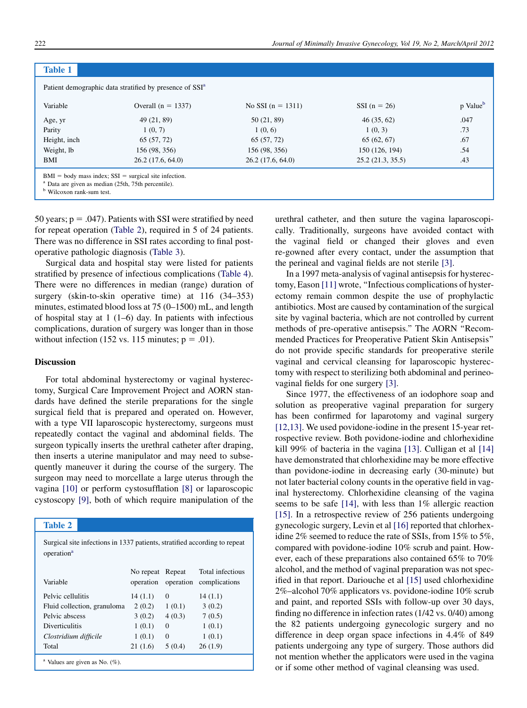<span id="page-2-0"></span>

| <b>Table 1</b>                       |                                                                                                                             |                     |                  |                      |
|--------------------------------------|-----------------------------------------------------------------------------------------------------------------------------|---------------------|------------------|----------------------|
|                                      | Patient demographic data stratified by presence of SSI <sup>a</sup>                                                         |                     |                  |                      |
| Variable                             | Overall $(n = 1337)$                                                                                                        | No SSI $(n = 1311)$ | SSI $(n = 26)$   | p Value <sup>b</sup> |
| Age, yr                              | 49 (21, 89)                                                                                                                 | 50 (21, 89)         | 46(35, 62)       | .047                 |
| Parity                               | 1(0, 7)                                                                                                                     | 1(0, 6)             | 1(0, 3)          | .73                  |
| Height, inch                         | 65 (57, 72)                                                                                                                 | 65 (57, 72)         | 65(62, 67)       | .67                  |
| Weight, lb                           | 156 (98, 356)                                                                                                               | 156 (98, 356)       | 150 (126, 194)   | .54                  |
| BMI                                  | 26.2(17.6, 64.0)                                                                                                            | 26.2(17.6, 64.0)    | 25.2(21.3, 35.5) | .43                  |
| <sup>b</sup> Wilcoxon rank-sum test. | $BMI = body$ mass index; $SSI = surgical$ site infection.<br><sup>a</sup> Data are given as median (25th, 75th percentile). |                     |                  |                      |

50 years;  $p = .047$ ). Patients with SSI were stratified by need for repeat operation (Table 2), required in 5 of 24 patients. There was no difference in SSI rates according to final postoperative pathologic diagnosis ([Table 3\)](#page-3-0).

Surgical data and hospital stay were listed for patients stratified by presence of infectious complications [\(Table 4](#page-3-0)). There were no differences in median (range) duration of surgery (skin-to-skin operative time) at 116 (34–353) minutes, estimated blood loss at 75 (0–1500) mL, and length of hospital stay at 1 (1–6) day. In patients with infectious complications, duration of surgery was longer than in those without infection (152 vs. 115 minutes;  $p = .01$ ).

#### Discussion

For total abdominal hysterectomy or vaginal hysterectomy, Surgical Care Improvement Project and AORN standards have defined the sterile preparations for the single surgical field that is prepared and operated on. However, with a type VII laparoscopic hysterectomy, surgeons must repeatedly contact the vaginal and abdominal fields. The surgeon typically inserts the urethral catheter after draping, then inserts a uterine manipulator and may need to subsequently maneuver it during the course of the surgery. The surgeon may need to morcellate a large uterus through the vagina [\[10\]](#page-4-0) or perform cystosufflation [\[8\]](#page-4-0) or laparoscopic cystoscopy [\[9\],](#page-4-0) both of which require manipulation of the

#### Table 2

Surgical site infections in 1337 patients, stratified according to repeat operation<sup>a</sup>

| Variable                                      | No repeat<br>operation | Repeat<br>operation | Total infectious<br>complications |  |
|-----------------------------------------------|------------------------|---------------------|-----------------------------------|--|
| Pelvic cellulitis                             | 14(1.1)                | $\Omega$            | 14(1.1)                           |  |
| Fluid collection, granuloma                   | 2(0.2)                 | 1(0.1)              | 3(0.2)                            |  |
| Pelvic abscess                                | 3(0.2)                 | 4(0.3)              | 7(0.5)                            |  |
| <b>Diverticulitis</b>                         | 1(0.1)                 | $\Omega$            | 1(0.1)                            |  |
| Clostridium difficile                         | 1(0.1)                 | $\Omega$            | 1(0.1)                            |  |
| Total                                         | 21(1.6)                | 5(0.4)              | 26(1.9)                           |  |
| <sup>a</sup> Values are given as No. $(\%)$ . |                        |                     |                                   |  |

urethral catheter, and then suture the vagina laparoscopically. Traditionally, surgeons have avoided contact with the vaginal field or changed their gloves and even re-gowned after every contact, under the assumption that the perineal and vaginal fields are not sterile [\[3\].](#page-4-0)

In a 1997 meta-analysis of vaginal antisepsis for hysterectomy, Eason [\[11\]](#page-4-0) wrote, ''Infectious complications of hysterectomy remain common despite the use of prophylactic antibiotics. Most are caused by contamination of the surgical site by vaginal bacteria, which are not controlled by current methods of pre-operative antisepsis.'' The AORN ''Recommended Practices for Preoperative Patient Skin Antisepsis'' do not provide specific standards for preoperative sterile vaginal and cervical cleansing for laparoscopic hysterectomy with respect to sterilizing both abdominal and perineovaginal fields for one surgery [\[3\].](#page-4-0)

Since 1977, the effectiveness of an iodophore soap and solution as preoperative vaginal preparation for surgery has been confirmed for laparotomy and vaginal surgery [\[12,13\]](#page-4-0). We used povidone-iodine in the present 15-year retrospective review. Both povidone-iodine and chlorhexidine kill 99% of bacteria in the vagina [\[13\].](#page-4-0) Culligan et al [\[14\]](#page-4-0) have demonstrated that chlorhexidine may be more effective than povidone-iodine in decreasing early (30-minute) but not later bacterial colony counts in the operative field in vaginal hysterectomy. Chlorhexidine cleansing of the vagina seems to be safe [\[14\]](#page-4-0), with less than 1% allergic reaction [\[15\].](#page-4-0) In a retrospective review of 256 patients undergoing gynecologic surgery, Levin et al [\[16\]](#page-4-0) reported that chlorhexidine 2% seemed to reduce the rate of SSIs, from 15% to 5%, compared with povidone-iodine 10% scrub and paint. However, each of these preparations also contained 65% to 70% alcohol, and the method of vaginal preparation was not specified in that report. Dariouche et al [\[15\]](#page-4-0) used chlorhexidine 2%–alcohol 70% applicators vs. povidone-iodine 10% scrub and paint, and reported SSIs with follow-up over 30 days, finding no difference in infection rates (1/42 vs. 0/40) among the 82 patients undergoing gynecologic surgery and no difference in deep organ space infections in 4.4% of 849 patients undergoing any type of surgery. Those authors did not mention whether the applicators were used in the vagina or if some other method of vaginal cleansing was used.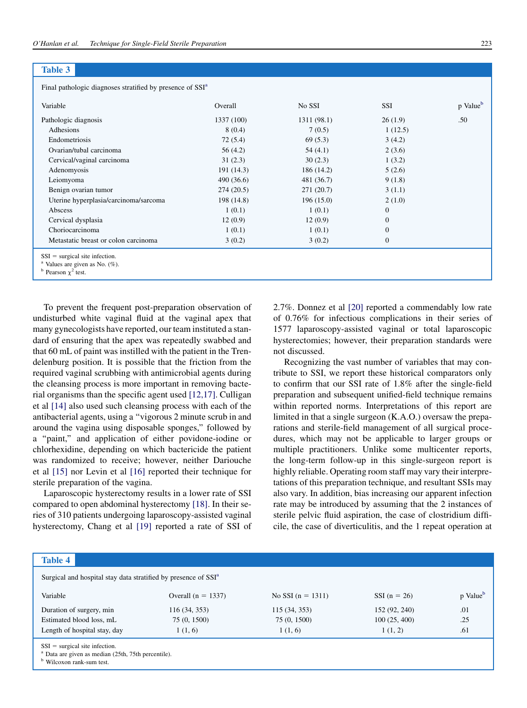#### <span id="page-3-0"></span>Table 3

Final pathologic diagnoses stratified by presence of SSI<sup>a</sup>

| Variable                                                                                                                 | Overall    | No SSI      | <b>SSI</b>   | p Value <sup>b</sup> |
|--------------------------------------------------------------------------------------------------------------------------|------------|-------------|--------------|----------------------|
| Pathologic diagnosis                                                                                                     | 1337 (100) | 1311 (98.1) | 26(1.9)      | .50                  |
| Adhesions                                                                                                                | 8(0.4)     | 7(0.5)      | 1(12.5)      |                      |
| Endometriosis                                                                                                            | 72(5.4)    | 69(5.3)     | 3(4.2)       |                      |
| Ovarian/tubal carcinoma                                                                                                  | 56 (4.2)   | 54(4.1)     | 2(3.6)       |                      |
| Cervical/vaginal carcinoma                                                                                               | 31(2.3)    | 30(2.3)     | 1(3.2)       |                      |
| Adenomyosis                                                                                                              | 191 (14.3) | 186 (14.2)  | 5(2.6)       |                      |
| Leiomyoma                                                                                                                | 490 (36.6) | 481 (36.7)  | 9(1.8)       |                      |
| Benign ovarian tumor                                                                                                     | 274(20.5)  | 271(20.7)   | 3(1.1)       |                      |
| Uterine hyperplasia/carcinoma/sarcoma                                                                                    | 198 (14.8) | 196(15.0)   | 2(1.0)       |                      |
| Abscess                                                                                                                  | 1(0.1)     | 1(0.1)      | $\mathbf{0}$ |                      |
| Cervical dysplasia                                                                                                       | 12(0.9)    | 12(0.9)     | $\Omega$     |                      |
| Choriocarcinoma                                                                                                          | 1(0.1)     | 1(0.1)      | $\Omega$     |                      |
| Metastatic breast or colon carcinoma                                                                                     | 3(0.2)     | 3(0.2)      | $\mathbf{0}$ |                      |
| $SSI = surgical site infection.$<br><sup>a</sup> Values are given as No. $(\%)$ .<br><sup>b</sup> Pearson $\chi^2$ test. |            |             |              |                      |

To prevent the frequent post-preparation observation of undisturbed white vaginal fluid at the vaginal apex that many gynecologists have reported, our team instituted a standard of ensuring that the apex was repeatedly swabbed and that 60 mL of paint was instilled with the patient in the Trendelenburg position. It is possible that the friction from the required vaginal scrubbing with antimicrobial agents during the cleansing process is more important in removing bacterial organisms than the specific agent used [\[12,17\].](#page-4-0) Culligan et al [\[14\]](#page-4-0) also used such cleansing process with each of the antibacterial agents, using a ''vigorous 2 minute scrub in and around the vagina using disposable sponges,'' followed by a ''paint,'' and application of either povidone-iodine or chlorhexidine, depending on which bactericide the patient was randomized to receive; however, neither Dariouche et al [\[15\]](#page-4-0) nor Levin et al [\[16\]](#page-4-0) reported their technique for sterile preparation of the vagina.

Laparoscopic hysterectomy results in a lower rate of SSI compared to open abdominal hysterectomy [\[18\]](#page-4-0). In their series of 310 patients undergoing laparoscopy-assisted vaginal hysterectomy, Chang et al [\[19\]](#page-4-0) reported a rate of SSI of 2.7%. Donnez et al [\[20\]](#page-4-0) reported a commendably low rate of 0.76% for infectious complications in their series of 1577 laparoscopy-assisted vaginal or total laparoscopic hysterectomies; however, their preparation standards were not discussed.

Recognizing the vast number of variables that may contribute to SSI, we report these historical comparators only to confirm that our SSI rate of 1.8% after the single-field preparation and subsequent unified-field technique remains within reported norms. Interpretations of this report are limited in that a single surgeon (K.A.O.) oversaw the preparations and sterile-field management of all surgical procedures, which may not be applicable to larger groups or multiple practitioners. Unlike some multicenter reports, the long-term follow-up in this single-surgeon report is highly reliable. Operating room staff may vary their interpretations of this preparation technique, and resultant SSIs may also vary. In addition, bias increasing our apparent infection rate may be introduced by assuming that the 2 instances of sterile pelvic fluid aspiration, the case of clostridium difficile, the case of diverticulitis, and the 1 repeat operation at

| <b>Table 4</b>                                                                                                                             |                      |                     |                |                      |  |
|--------------------------------------------------------------------------------------------------------------------------------------------|----------------------|---------------------|----------------|----------------------|--|
| Surgical and hospital stay data stratified by presence of SSI <sup>a</sup>                                                                 |                      |                     |                |                      |  |
| Variable                                                                                                                                   | Overall $(n = 1337)$ | No SSI $(n = 1311)$ | SSI $(n = 26)$ | p Value <sup>b</sup> |  |
| Duration of surgery, min                                                                                                                   | 116(34, 353)         | 115 (34, 353)       | 152 (92, 240)  | .01                  |  |
| Estimated blood loss, mL                                                                                                                   | 75 (0, 1500)         | 75 (0, 1500)        | 100(25, 400)   | .25                  |  |
| Length of hospital stay, day                                                                                                               | 1(1, 6)              | 1(1, 6)             | 1(1, 2)        | .61                  |  |
| $SSI = surgical site infection.$<br><sup>a</sup> Data are given as median (25th, 75th percentile).<br><sup>b</sup> Wilcoxon rank-sum test. |                      |                     |                |                      |  |

**b** Wilcoxon rank-sum test.